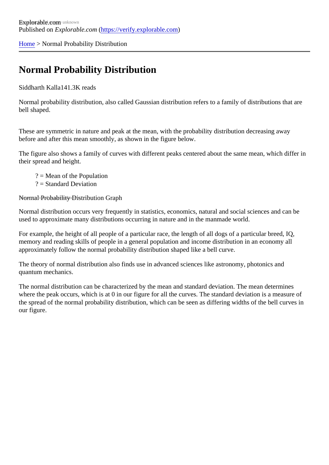[Home](https://verify.explorable.com/) > Normal Probability Distribution

## Normal Probability Distribution

Siddharth Kall441.3K reads

Normal probability distribution, also called Gaussian distribution refers to a family of distributions that are bell shaped.

These are symmetric in nature and peak at the mean, with the probability distribution decreasing away before and after this mean smoothly, as shown in the figure below.

The figure also shows a family of curves with different peaks centered about the same mean, which differ their spread and height.

? = Mean of the Population

? = Standard Deviation

Normal Probability Distribution Graph

Normal distribution occurs very frequently in statistics, economics, natural and social sciences and can be used to approximate many distributions occurring in nature and in the manmade world.

For example, the height of all people of a particular race, the length of all dogs of a particular breed, IQ, memory and reading skills of people in a general population and income distribution in an economy all approximately follow the normal probability distribution shaped like a bell curve.

The theory of normal distribution also finds use in advanced sciences like astronomy, photonics and quantum mechanics.

The normal distribution can be characterized by the mean and standard deviation. The mean determines where the peak occurs, which is at 0 in our figure for all the curves. The standard deviation is a measure of the spread of the normal probability distribution, which can be seen as differing widths of the bell curves in our figure.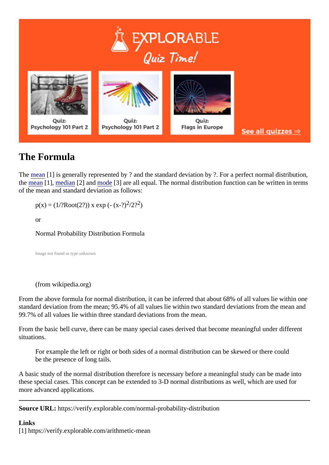## The Formula

The [mean](https://verify.explorable.com/arithmetic-mean)<sup>[1]</sup> is generally represented by ? and the standard deviation by ?. For a perfect normal distribution, the [mean](https://verify.explorable.com/arithmetic-mean)<sup>[1]</sup>, [median](https://verify.explorable.com/calculate-median)<sup>[2]</sup> an[d mode](https://verify.explorable.com/statistical-mode)<sup>[3]</sup> are all equal. The normal distribution function can be written in terms of the mean and standard deviation as follows:

 $p(x) = (1/?Root(2?))$  x exp (-  $(x\sqrt{2}2)^{2}$ )

or

Normal Probability Distribution Formula

Image not found or type unknown

(from wikipedia.org)

From the above formula for normal distribution, it can be inferred that about 68% of all values lie within one standard deviation from the mean: 95.4% of all values lie within two standard deviations from the mean and 99.7% of all values lie within three standard deviations from the mean.

From the basic bell curve, there can be many special cases derived that become meaningful under differe situations.

For example the left or right or both sides of a normal distribution can be skewed or there could be the presence of long tails.

A basic study of the normal distribution therefore is necessary before a meaningful study can be made into these special cases. This concept can be extended to 3-D normal distributions as well, which are used for more advanced applications.

Source URL: https://verify.explorable.com/normal-probability-distribution